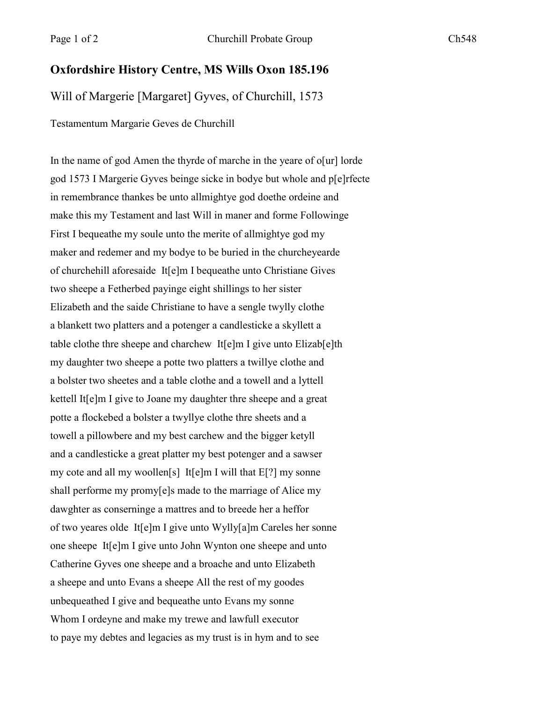## **Oxfordshire History Centre, MS Wills Oxon 185.196**

Will of Margerie [Margaret] Gyves, of Churchill, 1573

Testamentum Margarie Geves de Churchill

In the name of god Amen the thyrde of marche in the yeare of o[ur] lorde god 1573 I Margerie Gyves beinge sicke in bodye but whole and p[e]rfecte in remembrance thankes be unto allmightye god doethe ordeine and make this my Testament and last Will in maner and forme Followinge First I bequeathe my soule unto the merite of allmightye god my maker and redemer and my bodye to be buried in the churcheyearde of churchehill aforesaide It[e]m I bequeathe unto Christiane Gives two sheepe a Fetherbed payinge eight shillings to her sister Elizabeth and the saide Christiane to have a sengle twylly clothe a blankett two platters and a potenger a candlesticke a skyllett a table clothe thre sheepe and charchew It[e]m I give unto Elizab[e]th my daughter two sheepe a potte two platters a twillye clothe and a bolster two sheetes and a table clothe and a towell and a lyttell kettell It[e]m I give to Joane my daughter thre sheepe and a great potte a flockebed a bolster a twyllye clothe thre sheets and a towell a pillowbere and my best carchew and the bigger ketyll and a candlesticke a great platter my best potenger and a sawser my cote and all my woollen[s] It[e]m I will that E[?] my sonne shall performe my promy[e]s made to the marriage of Alice my dawghter as conserninge a mattres and to breede her a heffor of two yeares olde It[e]m I give unto Wylly[a]m Careles her sonne one sheepe It[e]m I give unto John Wynton one sheepe and unto Catherine Gyves one sheepe and a broache and unto Elizabeth a sheepe and unto Evans a sheepe All the rest of my goodes unbequeathed I give and bequeathe unto Evans my sonne Whom I ordeyne and make my trewe and lawfull executor to paye my debtes and legacies as my trust is in hym and to see